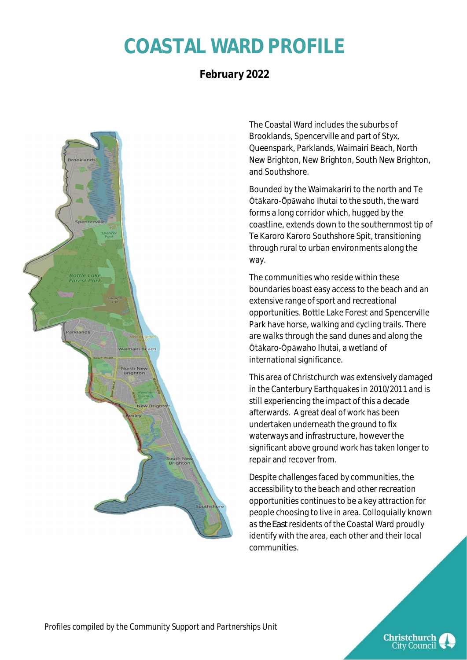## **COASTAL WARD PROFILE**

### **February 2022**



The Coastal Ward includes the suburbs of Brooklands, Spencerville and part of Styx, Queenspark, Parklands, Waimairi Beach, North New Brighton, New Brighton, South New Brighton, and Southshore.

Bounded by the Waimakariri to the north and Te Ōtākaro-Ōpāwaho Ihutai to the south, the ward forms a long corridor which, hugged by the coastline, extends down to the southernmost tip of Te Karoro Karoro Southshore Spit, transitioning through rural to urban environments along the way.

The communities who reside within these boundaries boast easy access to the beach and an extensive range of sport and recreational opportunities. Bottle Lake Forest and Spencerville Park have horse, walking and cycling trails. There are walks through the sand dunes and along the Ōtākaro-Ōpāwaho Ihutai, a wetland of international significance.

This area of Christchurch was extensively damaged in the Canterbury Earthquakes in 2010/2011 and is still experiencing the impact of this a decade afterwards. A great deal of work has been undertaken underneath the ground to fix waterways and infrastructure, however the significant above ground work has taken longer to repair and recover from.

Despite challenges faced by communities, the accessibility to the beach and other recreation opportunities continues to be a key attraction for people choosing to live in area. Colloquially known as *the East* residents of the Coastal Ward proudly identify with the area, each other and their local communities.



Christchurch **City Council**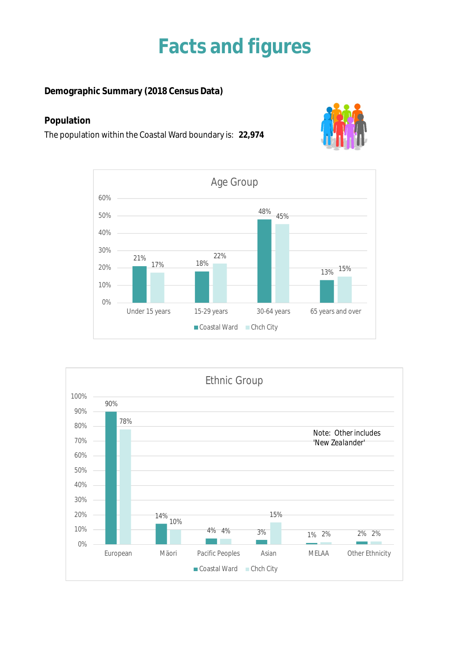### **Facts and figures**

**Demographic Summary (2018 Census Data)**

#### **Population**

The population within the Coastal Ward boundary is: **22,974**





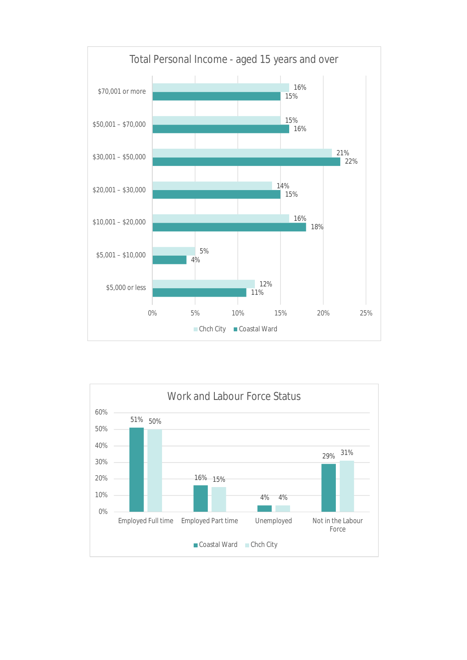

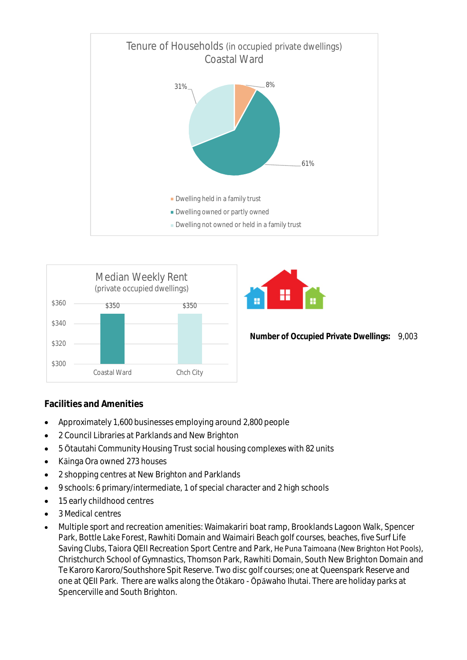





**Number of Occupied Private Dwellings:** 9,003

#### **Facilities and Amenities**

- Approximately 1,600 businesses employing around 2,800 people
- 2 Council Libraries at Parklands and New Brighton
- 5 Ōtautahi Community Housing Trust social housing complexes with 82 units
- Kāinga Ora owned 273 houses
- 2 shopping centres at New Brighton and Parklands
- 9 schools: 6 primary/intermediate, 1 of special character and 2 high schools
- 15 early childhood centres
- 3 Medical centres
- Multiple sport and recreation amenities: Waimakariri boat ramp, Brooklands Lagoon Walk, Spencer Park, Bottle Lake Forest, Rawhiti Domain and Waimairi Beach golf courses, beaches, five Surf Life Saving Clubs, Taiora QEII Recreation Sport Centre and Park, He Puna Taimoana (New Brighton Hot Pools), Christchurch School of Gymnastics, Thomson Park, Rawhiti Domain, South New Brighton Domain and Te Karoro Karoro/Southshore Spit Reserve. Two disc golf courses; one at Queenspark Reserve and one at QEII Park. There are walks along the Ōtākaro - Ōpāwaho Ihutai. There are holiday parks at Spencerville and South Brighton.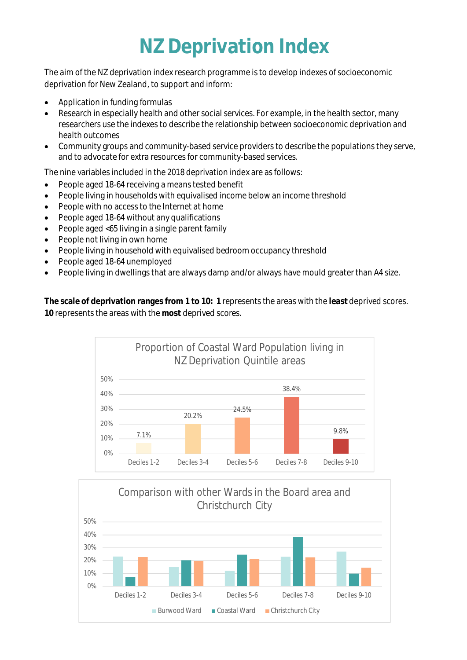## **NZ Deprivation Index**

The aim of the NZ deprivation index research programme is to develop indexes of socioeconomic deprivation for New Zealand, to support and inform:

- Application in funding formulas
- Research in especially health and other social services. For example, in the health sector, many researchers use the indexes to describe the relationship between socioeconomic deprivation and health outcomes
- Community groups and community-based service providers to describe the populations they serve, and to advocate for extra resources for community-based services.

The nine variables included in the 2018 deprivation index are as follows:

- People aged 18-64 receiving a means tested benefit
- People living in households with equivalised income below an income threshold
- People with no access to the Internet at home
- People aged 18-64 without any qualifications
- People aged <65 living in a single parent family
- People not living in own home
- People living in household with equivalised bedroom occupancy threshold
- People aged 18-64 unemployed
- People living in dwellings that are always damp and/or always have mould greater than A4 size.

**The scale of deprivation ranges from 1 to 10: 1** represents the areas with the **least** deprived scores. **10** represents the areas with the **most** deprived scores.



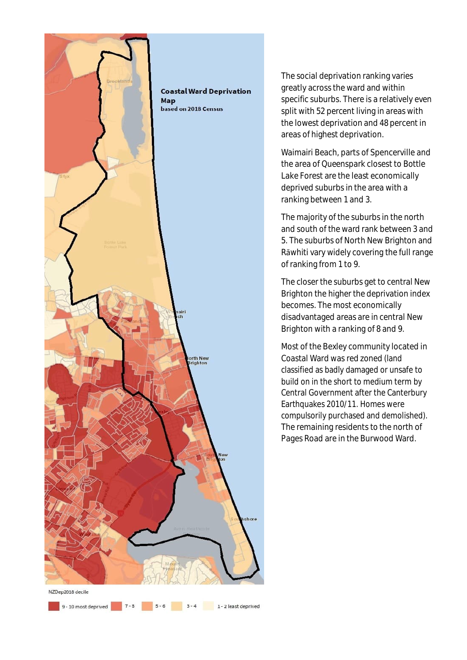

 $5 - 6$ 

 $3 - 4$ 

1 - 2 least deprived

The social deprivation ranking varies greatly across the ward and within specific suburbs. There is a relatively even split with 52 percent living in areas with the lowest deprivation and 48 percent in areas of highest deprivation.

Waimairi Beach, parts of Spencerville and the area of Queenspark closest to Bottle Lake Forest are the least economically deprived suburbs in the area with a ranking between 1 and 3.

The majority of the suburbs in the north and south of the ward rank between 3 and 5. The suburbs of North New Brighton and Rāwhiti vary widely covering the full range of ranking from 1 to 9.

The closer the suburbs get to central New Brighton the higher the deprivation index becomes. The most economically disadvantaged areas are in central New Brighton with a ranking of 8 and 9.

Most of the Bexley community located in Coastal Ward was red zoned (land classified as badly damaged or unsafe to build on in the short to medium term by Central Government after the Canterbury Earthquakes 2010/11. Homes were compulsorily purchased and demolished). The remaining residents to the north of Pages Road are in the Burwood Ward.

9 - 10 most deprived  $\begin{array}{|c|c|} \hline \textbf{9 - 10} & \textbf{7 - 8} \\\hline \end{array}$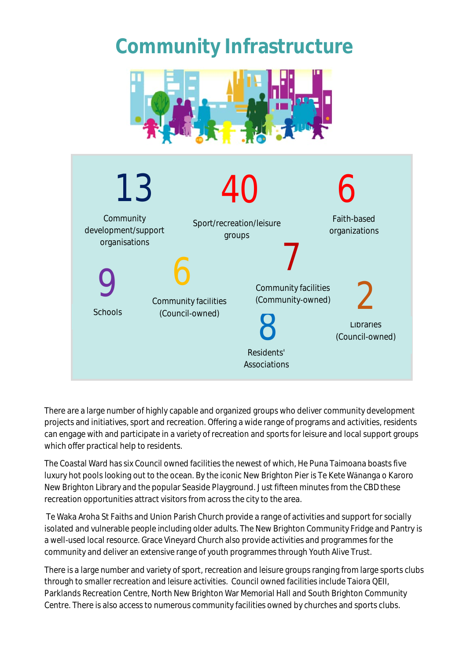## **Community Infrastructure**





There are a large number of highly capable and organized groups who deliver community development projects and initiatives, sport and recreation. Offering a wide range of programs and activities, residents can engage with and participate in a variety of recreation and sports for leisure and local support groups which offer practical help to residents.

The Coastal Ward has six Council owned facilities the newest of which, He Puna Taimoana boasts five luxury hot pools looking out to the ocean. By the iconic New Brighton Pier is Te Kete Wānanga o Karoro New Brighton Library and the popular Seaside Playground. Just fifteen minutes from the CBD these recreation opportunities attract visitors from across the city to the area.

 Te Waka Aroha St Faiths and Union Parish Church provide a range of activities and support for socially isolated and vulnerable people including older adults. The New Brighton Community Fridge and Pantry is a well-used local resource. Grace Vineyard Church also provide activities and programmes for the community and deliver an extensive range of youth programmes through Youth Alive Trust.

There is a large number and variety of sport, recreation and leisure groups ranging from large sports clubs through to smaller recreation and leisure activities. Council owned facilities include Taiora QEII, Parklands Recreation Centre, North New Brighton War Memorial Hall and South Brighton Community Centre. There is also access to numerous community facilities owned by churches and sports clubs.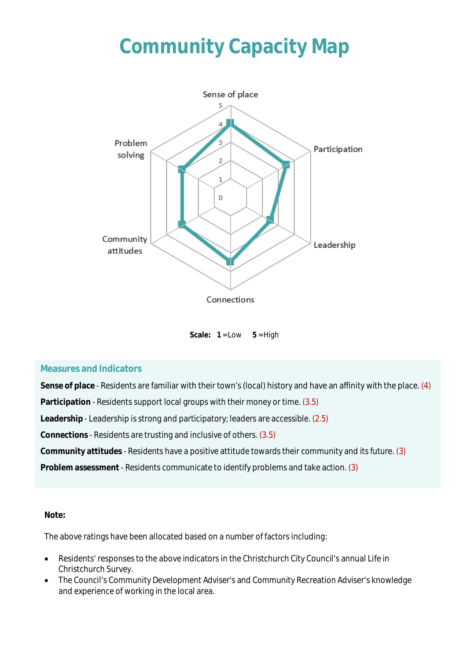## **Community Capacity Map**



Scale:  $1 = Low \t 5 = High$ 

#### **Measures and Indicators**

**Sense of place** - Residents are familiar with their town's (local) history and have an affinity with the place. (4)

**Participation** - Residents support local groups with their money or time. (3.5)

**Leadership** - Leadership is strong and participatory; leaders are accessible. (2.5)

**Connections** - Residents are trusting and inclusive of others. (3.5)

**Community attitudes** - Residents have a positive attitude towards their community and its future. (3)

**Problem assessment** - Residents communicate to identify problems and take action. (3)

#### **Note:**

The above ratings have been allocated based on a number of factors including:

- Residents' responses to the above indicators in the Christchurch City Council's annual Life in Christchurch Survey.
- The Council's Community Development Adviser's and Community Recreation Adviser's knowledge and experience of working in the local area.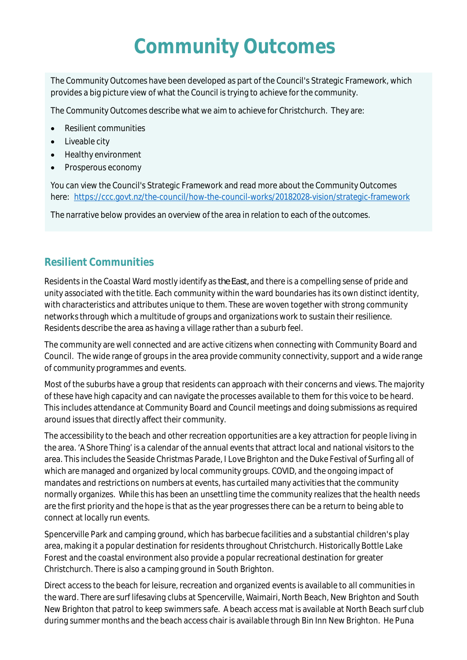## **Community Outcomes**

The Community Outcomes have been developed as part of the Council's Strategic Framework, which provides a big picture view of what the Council is trying to achieve for the community.

The Community Outcomes describe what we aim to achieve for Christchurch. They are:

- Resilient communities
- Liveable city
- Healthy environment
- Prosperous economy

You can view the Council's Strategic Framework and read more about the Community Outcomes here: https://ccc.govt.nz/the-council/how-the-council-works/20182028-vision/strategic-framework

The narrative below provides an overview of the area in relation to each of the outcomes.

### **Resilient Communities**

Residents in the Coastal Ward mostly identify as *the East,* and there is a compelling sense of pride and unity associated with the title. Each community within the ward boundaries has its own distinct identity, with characteristics and attributes unique to them. These are woven together with strong community networks through which a multitude of groups and organizations work to sustain their resilience. Residents describe the area as having a village rather than a suburb feel.

The community are well connected and are active citizens when connecting with Community Board and Council. The wide range of groups in the area provide community connectivity, support and a wide range of community programmes and events.

Most of the suburbs have a group that residents can approach with their concerns and views. The majority of these have high capacity and can navigate the processes available to them for this voice to be heard. This includes attendance at Community Board and Council meetings and doing submissions as required around issues that directly affect their community.

The accessibility to the beach and other recreation opportunities are a key attraction for people living in the area. 'A Shore Thing' is a calendar of the annual events that attract local and national visitors to the area. This includes the Seaside Christmas Parade, I Love Brighton and the Duke Festival of Surfing all of which are managed and organized by local community groups. COVID, and the ongoing impact of mandates and restrictions on numbers at events, has curtailed many activities that the community normally organizes. While this has been an unsettling time the community realizes that the health needs are the first priority and the hope is that as the year progresses there can be a return to being able to connect at locally run events.

Spencerville Park and camping ground, which has barbecue facilities and a substantial children's play area, making it a popular destination for residents throughout Christchurch. Historically Bottle Lake Forest and the coastal environment also provide a popular recreational destination for greater Christchurch. There is also a camping ground in South Brighton.

Direct access to the beach for leisure, recreation and organized events is available to all communities in the ward. There are surf lifesaving clubs at Spencerville, Waimairi, North Beach, New Brighton and South New Brighton that patrol to keep swimmers safe. A beach access mat is available at North Beach surf club during summer months and the beach access chair is available through Bin Inn New Brighton. He Puna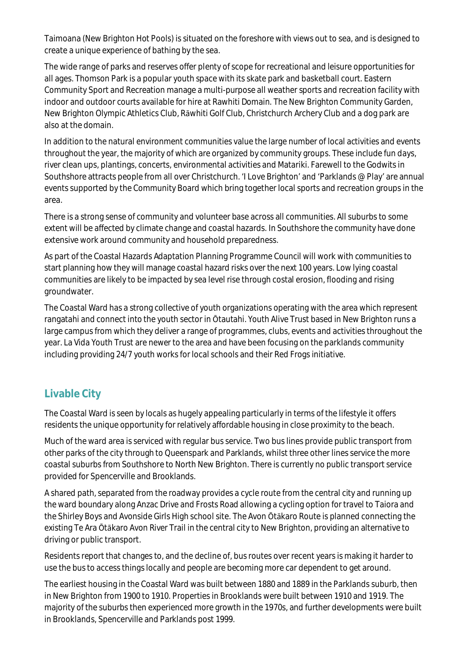Taimoana (New Brighton Hot Pools) is situated on the foreshore with views out to sea, and is designed to create a unique experience of bathing by the sea.

The wide range of parks and reserves offer plenty of scope for recreational and leisure opportunities for all ages. Thomson Park is a popular youth space with its skate park and basketball court. Eastern Community Sport and Recreation manage a multi-purpose all weather sports and recreation facility with indoor and outdoor courts available for hire at Rawhiti Domain. The New Brighton Community Garden, New Brighton Olympic Athletics Club, Rāwhiti Golf Club, Christchurch Archery Club and a dog park are also at the domain.

In addition to the natural environment communities value the large number of local activities and events throughout the year, the majority of which are organized by community groups. These include fun days, river clean ups, plantings, concerts, environmental activities and Matariki. Farewell to the Godwits in Southshore attracts people from all over Christchurch. 'I Love Brighton' and 'Parklands @ Play' are annual events supported by the Community Board which bring together local sports and recreation groups in the area.

There is a strong sense of community and volunteer base across all communities. All suburbs to some extent will be affected by climate change and coastal hazards. In Southshore the community have done extensive work around community and household preparedness.

As part of the Coastal Hazards Adaptation Planning Programme Council will work with communities to start planning how they will manage coastal hazard risks over the next 100 years. Low lying coastal communities are likely to be impacted by sea level rise through costal erosion, flooding and rising groundwater.

The Coastal Ward has a strong collective of youth organizations operating with the area which represent rangatahi and connect into the youth sector in Ōtautahi. Youth Alive Trust based in New Brighton runs a large campus from which they deliver a range of programmes, clubs, events and activities throughout the year. La Vida Youth Trust are newer to the area and have been focusing on the parklands community including providing 24/7 youth works for local schools and their Red Frogs initiative.

### **Livable City**

The Coastal Ward is seen by locals as hugely appealing particularly in terms of the lifestyle it offers residents the unique opportunity for relatively affordable housing in close proximity to the beach.

Much of the ward area is serviced with regular bus service. Two bus lines provide public transport from other parks of the city through to Queenspark and Parklands, whilst three other lines service the more coastal suburbs from Southshore to North New Brighton. There is currently no public transport service provided for Spencerville and Brooklands.

A shared path, separated from the roadway provides a cycle route from the central city and running up the ward boundary along Anzac Drive and Frosts Road allowing a cycling option for travel to Taiora and the Shirley Boys and Avonside Girls High school site. The Avon Ōtākaro Route is planned connecting the existing Te Ara Ōtākaro Avon River Trail in the central city to New Brighton, providing an alternative to driving or public transport.

Residents report that changes to, and the decline of, bus routes over recent years is making it harder to use the bus to access things locally and people are becoming more car dependent to get around.

The earliest housing in the Coastal Ward was built between 1880 and 1889 in the Parklands suburb, then in New Brighton from 1900 to 1910. Properties in Brooklands were built between 1910 and 1919. The majority of the suburbs then experienced more growth in the 1970s, and further developments were built in Brooklands, Spencerville and Parklands post 1999.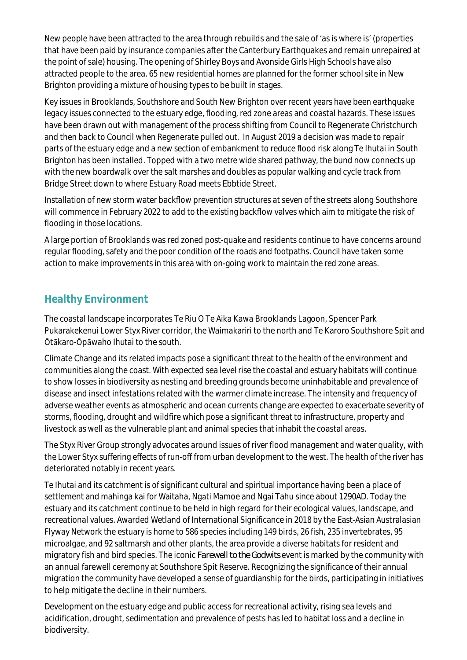New people have been attracted to the area through rebuilds and the sale of 'as is where is' (properties that have been paid by insurance companies after the Canterbury Earthquakes and remain unrepaired at the point of sale) housing. The opening of Shirley Boys and Avonside Girls High Schools have also attracted people to the area. 65 new residential homes are planned for the former school site in New Brighton providing a mixture of housing types to be built in stages.

Key issues in Brooklands, Southshore and South New Brighton over recent years have been earthquake legacy issues connected to the estuary edge, flooding, red zone areas and coastal hazards. These issues have been drawn out with management of the process shifting from Council to Regenerate Christchurch and then back to Council when Regenerate pulled out. In August 2019 a decision was made to repair parts of the estuary edge and a new section of embankment to reduce flood risk along Te Ihutai in South Brighton has been installed. Topped with a two metre wide shared pathway, the bund now connects up with the new boardwalk over the salt marshes and doubles as popular walking and cycle track from Bridge Street down to where Estuary Road meets Ebbtide Street.

Installation of new storm water backflow prevention structures at seven of the streets along Southshore will commence in February 2022 to add to the existing backflow valves which aim to mitigate the risk of flooding in those locations.

A large portion of Brooklands was red zoned post-quake and residents continue to have concerns around regular flooding, safety and the poor condition of the roads and footpaths. Council have taken some action to make improvements in this area with on-going work to maintain the red zone areas.

### **Healthy Environment**

The coastal landscape incorporates Te Riu O Te Aika Kawa Brooklands Lagoon, Spencer Park Pukarakekenui Lower Styx River corridor, the Waimakariri to the north and Te Karoro Southshore Spit and Ōtākaro-Ōpāwaho Ihutai to the south.

Climate Change and its related impacts pose a significant threat to the health of the environment and communities along the coast. With expected sea level rise the coastal and estuary habitats will continue to show losses in biodiversity as nesting and breeding grounds become uninhabitable and prevalence of disease and insect infestations related with the warmer climate increase. The intensity and frequency of adverse weather events as atmospheric and ocean currents change are expected to exacerbate severity of storms, flooding, drought and wildfire which pose a significant threat to infrastructure, property and livestock as well as the vulnerable plant and animal species that inhabit the coastal areas.

The Styx River Group strongly advocates around issues of river flood management and water quality, with the Lower Styx suffering effects of run-off from urban development to the west. The health of the river has deteriorated notably in recent years.

Te Ihutai and its catchment is of significant cultural and spiritual importance having been a place of settlement and mahinga kai for Waitaha, Ngāti Māmoe and Ngāi Tahu since about 1290AD. Today the estuary and its catchment continue to be held in high regard for their ecological values, landscape, and recreational values. Awarded Wetland of International Significance in 2018 by the East-Asian Australasian Flyway Network the estuary is home to 586 species including 149 birds, 26 fish, 235 invertebrates, 95 microalgae, and 92 saltmarsh and other plants, the area provide a diverse habitats for resident and migratory fish and bird species. The iconic *Farewell to the Godwits* event is marked by the community with an annual farewell ceremony at Southshore Spit Reserve. Recognizing the significance of their annual migration the community have developed a sense of guardianship for the birds, participating in initiatives to help mitigate the decline in their numbers.

Development on the estuary edge and public access for recreational activity, rising sea levels and acidification, drought, sedimentation and prevalence of pests has led to habitat loss and a decline in biodiversity.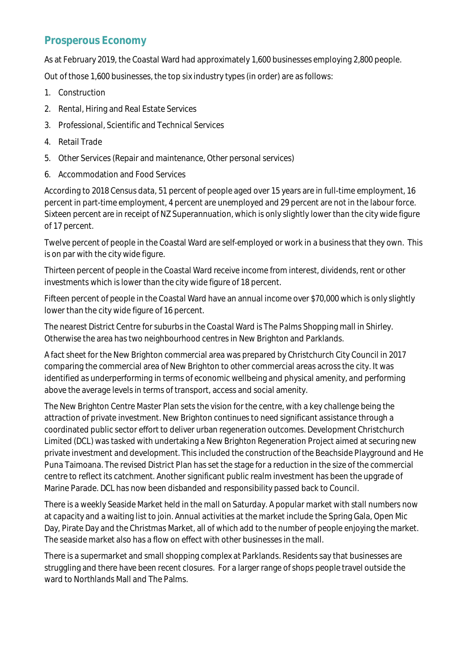### **Prosperous Economy**

As at February 2019, the Coastal Ward had approximately 1,600 businesses employing 2,800 people.

Out of those 1,600 businesses, the top six industry types (in order) are as follows:

- 1. Construction
- 2. Rental, Hiring and Real Estate Services
- 3. Professional, Scientific and Technical Services
- 4. Retail Trade
- 5. Other Services (Repair and maintenance, Other personal services)
- 6. Accommodation and Food Services

According to 2018 Census data, 51 percent of people aged over 15 years are in full-time employment, 16 percent in part-time employment, 4 percent are unemployed and 29 percent are not in the labour force. Sixteen percent are in receipt of NZ Superannuation, which is only slightly lower than the city wide figure of 17 percent.

Twelve percent of people in the Coastal Ward are self-employed or work in a business that they own. This is on par with the city wide figure.

Thirteen percent of people in the Coastal Ward receive income from interest, dividends, rent or other investments which is lower than the city wide figure of 18 percent.

Fifteen percent of people in the Coastal Ward have an annual income over \$70,000 which is only slightly lower than the city wide figure of 16 percent.

The nearest District Centre for suburbs in the Coastal Ward is The Palms Shopping mall in Shirley. Otherwise the area has two neighbourhood centres in New Brighton and Parklands.

A fact sheet for the New Brighton commercial area was prepared by Christchurch City Council in 2017 comparing the commercial area of New Brighton to other commercial areas across the city. It was identified as underperforming in terms of economic wellbeing and physical amenity, and performing above the average levels in terms of transport, access and social amenity.

The New Brighton Centre Master Plan sets the vision for the centre, with a key challenge being the attraction of private investment. New Brighton continues to need significant assistance through a coordinated public sector effort to deliver urban regeneration outcomes. Development Christchurch Limited (DCL) was tasked with undertaking a New Brighton Regeneration Project aimed at securing new private investment and development. This included the construction of the Beachside Playground and He Puna Taimoana. The revised District Plan has set the stage for a reduction in the size of the commercial centre to reflect its catchment. Another significant public realm investment has been the upgrade of Marine Parade. DCL has now been disbanded and responsibility passed back to Council.

There is a weekly Seaside Market held in the mall on Saturday. A popular market with stall numbers now at capacity and a waiting list to join. Annual activities at the market include the Spring Gala, Open Mic Day, Pirate Day and the Christmas Market, all of which add to the number of people enjoying the market. The seaside market also has a flow on effect with other businesses in the mall.

There is a supermarket and small shopping complex at Parklands. Residents say that businesses are struggling and there have been recent closures. For a larger range of shops people travel outside the ward to Northlands Mall and The Palms.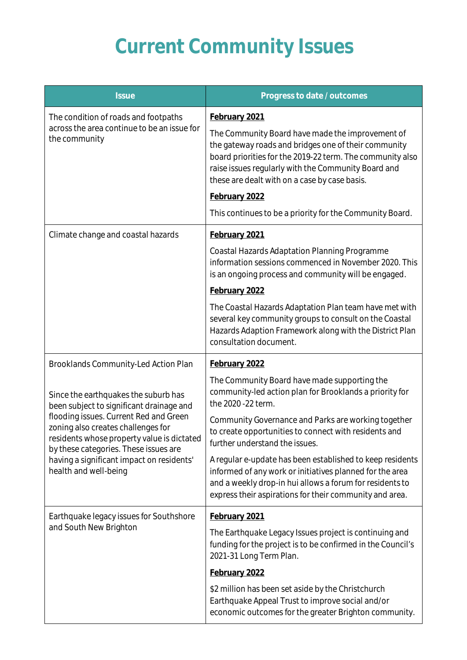# **Current Community Issues**

| <b>Issue</b>                                                                                                                                                                                                                                                                                                                                                          | Progress to date / outcomes                                                                                                                                                                                                                                                                                                                                                 |
|-----------------------------------------------------------------------------------------------------------------------------------------------------------------------------------------------------------------------------------------------------------------------------------------------------------------------------------------------------------------------|-----------------------------------------------------------------------------------------------------------------------------------------------------------------------------------------------------------------------------------------------------------------------------------------------------------------------------------------------------------------------------|
| The condition of roads and footpaths<br>across the area continue to be an issue for<br>the community                                                                                                                                                                                                                                                                  | February 2021<br>The Community Board have made the improvement of<br>the gateway roads and bridges one of their community<br>board priorities for the 2019-22 term. The community also<br>raise issues regularly with the Community Board and<br>these are dealt with on a case by case basis.<br>February 2022<br>This continues to be a priority for the Community Board. |
| Climate change and coastal hazards                                                                                                                                                                                                                                                                                                                                    | February 2021<br>Coastal Hazards Adaptation Planning Programme<br>information sessions commenced in November 2020. This<br>is an ongoing process and community will be engaged.<br>February 2022<br>The Coastal Hazards Adaptation Plan team have met with<br>several key community groups to consult on the Coastal                                                        |
|                                                                                                                                                                                                                                                                                                                                                                       | Hazards Adaption Framework along with the District Plan<br>consultation document.                                                                                                                                                                                                                                                                                           |
| Brooklands Community-Led Action Plan<br>Since the earthquakes the suburb has<br>been subject to significant drainage and<br>flooding issues. Current Red and Green<br>zoning also creates challenges for<br>residents whose property value is dictated<br>by these categories. These issues are<br>having a significant impact on residents'<br>health and well-being | February 2022<br>The Community Board have made supporting the<br>community-led action plan for Brooklands a priority for<br>the 2020 - 22 term.                                                                                                                                                                                                                             |
|                                                                                                                                                                                                                                                                                                                                                                       | Community Governance and Parks are working together<br>to create opportunities to connect with residents and<br>further understand the issues.                                                                                                                                                                                                                              |
|                                                                                                                                                                                                                                                                                                                                                                       | A regular e-update has been established to keep residents<br>informed of any work or initiatives planned for the area<br>and a weekly drop-in hui allows a forum for residents to<br>express their aspirations for their community and area.                                                                                                                                |
| Earthquake legacy issues for Southshore<br>and South New Brighton                                                                                                                                                                                                                                                                                                     | February 2021<br>The Earthquake Legacy Issues project is continuing and<br>funding for the project is to be confirmed in the Council's<br>2021-31 Long Term Plan.                                                                                                                                                                                                           |
|                                                                                                                                                                                                                                                                                                                                                                       | February 2022<br>\$2 million has been set aside by the Christchurch<br>Earthquake Appeal Trust to improve social and/or<br>economic outcomes for the greater Brighton community.                                                                                                                                                                                            |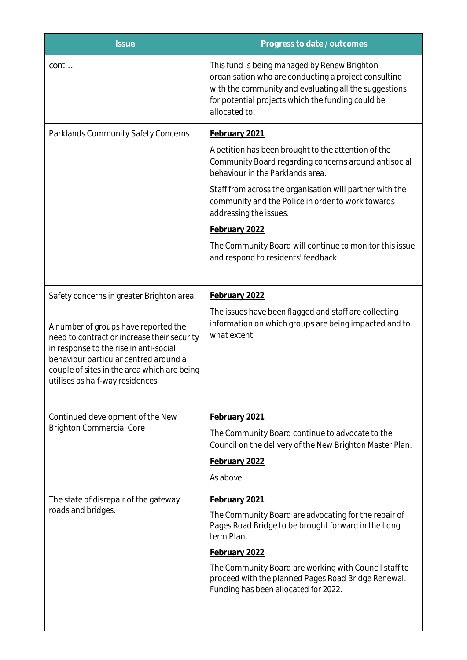| <b>Issue</b>                                                                                                                                                                                                                                             | Progress to date / outcomes                                                                                                                                                                                                         |
|----------------------------------------------------------------------------------------------------------------------------------------------------------------------------------------------------------------------------------------------------------|-------------------------------------------------------------------------------------------------------------------------------------------------------------------------------------------------------------------------------------|
| cont                                                                                                                                                                                                                                                     | This fund is being managed by Renew Brighton<br>organisation who are conducting a project consulting<br>with the community and evaluating all the suggestions<br>for potential projects which the funding could be<br>allocated to. |
| Parklands Community Safety Concerns                                                                                                                                                                                                                      | February 2021                                                                                                                                                                                                                       |
|                                                                                                                                                                                                                                                          | A petition has been brought to the attention of the<br>Community Board regarding concerns around antisocial<br>behaviour in the Parklands area.                                                                                     |
|                                                                                                                                                                                                                                                          | Staff from across the organisation will partner with the<br>community and the Police in order to work towards<br>addressing the issues.                                                                                             |
|                                                                                                                                                                                                                                                          | February 2022                                                                                                                                                                                                                       |
|                                                                                                                                                                                                                                                          | The Community Board will continue to monitor this issue<br>and respond to residents' feedback.                                                                                                                                      |
| Safety concerns in greater Brighton area.                                                                                                                                                                                                                | February 2022                                                                                                                                                                                                                       |
| A number of groups have reported the<br>need to contract or increase their security<br>in response to the rise in anti-social<br>behaviour particular centred around a<br>couple of sites in the area which are being<br>utilises as half-way residences | The issues have been flagged and staff are collecting<br>information on which groups are being impacted and to<br>what extent.                                                                                                      |
| Continued development of the New<br><b>Brighton Commercial Core</b>                                                                                                                                                                                      | February 2021                                                                                                                                                                                                                       |
|                                                                                                                                                                                                                                                          | The Community Board continue to advocate to the<br>Council on the delivery of the New Brighton Master Plan.<br>February 2022<br>As above.                                                                                           |
| The state of disrepair of the gateway<br>roads and bridges.                                                                                                                                                                                              | February 2021                                                                                                                                                                                                                       |
|                                                                                                                                                                                                                                                          | The Community Board are advocating for the repair of<br>Pages Road Bridge to be brought forward in the Long<br>term Plan.                                                                                                           |
|                                                                                                                                                                                                                                                          | February 2022                                                                                                                                                                                                                       |
|                                                                                                                                                                                                                                                          | The Community Board are working with Council staff to<br>proceed with the planned Pages Road Bridge Renewal.<br>Funding has been allocated for 2022.                                                                                |
|                                                                                                                                                                                                                                                          |                                                                                                                                                                                                                                     |